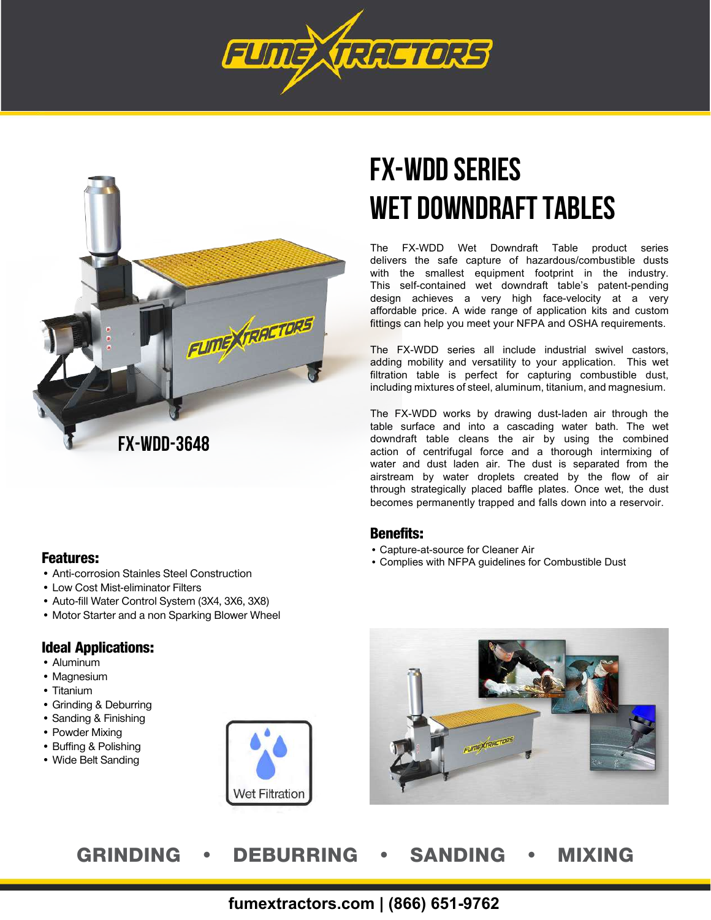



### Features:

- Anti-corrosion Stainles Steel Construction
- Low Cost Mist-eliminator Filters
- Auto-fill Water Control System (3X4, 3X6, 3X8)
- Motor Starter and a non Sparking Blower Wheel

### Ideal Applications:

- Aluminum
- Magnesium
- Titanium
- Grinding & Deburring
- Sanding & Finishing
- Powder Mixing
- Buffing & Polishing
- Wide Belt Sanding



# **FX-WDD Series Wet Downdraft Tables**

The FX-WDD Wet Downdraft Table product series delivers the safe capture of hazardous/combustible dusts with the smallest equipment footprint in the industry. This self-contained wet downdraft table's patent-pending design achieves a very high face-velocity at a very affordable price. A wide range of application kits and custom fittings can help you meet your NFPA and OSHA requirements.

The FX-WDD series all include industrial swivel castors, adding mobility and versatility to your application. This wet filtration table is perfect for capturing combustible dust, including mixtures of steel, aluminum, titanium, and magnesium.

The FX-WDD works by drawing dust-laden air through the table surface and into a cascading water bath. The wet downdraft table cleans the air by using the combined action of centrifugal force and a thorough intermixing of water and dust laden air. The dust is separated from the airstream by water droplets created by the flow of air through strategically placed baffle plates. Once wet, the dust becomes permanently trapped and falls down into a reservoir.

### Benefits:

- Capture-at-source for Cleaner Air
- Complies with NFPA guidelines for Combustible Dust



## GRINDING • DEBURRING • SANDING • MIXING